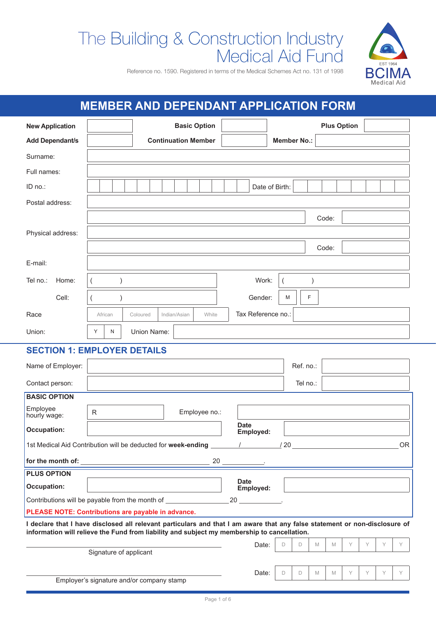# The Building & Construction Industry Medical Aid Fund



Reference no. 1590. Registered in terms of the Medical Schemes Act no. 131 of 1998

# **MEMBER AND DEPENDANT APPLICATION FORM**

| <b>New Application</b>                                                                                                                                                                                                    |                                           |             | <b>Basic Option</b>        |       |                              |                    |           |   |       | <b>Plus Option</b> |   |   |           |
|---------------------------------------------------------------------------------------------------------------------------------------------------------------------------------------------------------------------------|-------------------------------------------|-------------|----------------------------|-------|------------------------------|--------------------|-----------|---|-------|--------------------|---|---|-----------|
| <b>Add Dependant/s</b>                                                                                                                                                                                                    |                                           |             | <b>Continuation Member</b> |       |                              | <b>Member No.:</b> |           |   |       |                    |   |   |           |
| Surname:                                                                                                                                                                                                                  |                                           |             |                            |       |                              |                    |           |   |       |                    |   |   |           |
| Full names:                                                                                                                                                                                                               |                                           |             |                            |       |                              |                    |           |   |       |                    |   |   |           |
| ID no.:                                                                                                                                                                                                                   |                                           |             |                            |       | Date of Birth:               |                    |           |   |       |                    |   |   |           |
| Postal address:                                                                                                                                                                                                           |                                           |             |                            |       |                              |                    |           |   |       |                    |   |   |           |
|                                                                                                                                                                                                                           |                                           |             |                            |       |                              |                    |           |   | Code: |                    |   |   |           |
| Physical address:                                                                                                                                                                                                         |                                           |             |                            |       |                              |                    |           |   |       |                    |   |   |           |
|                                                                                                                                                                                                                           |                                           |             |                            |       |                              |                    |           |   | Code: |                    |   |   |           |
| E-mail:                                                                                                                                                                                                                   |                                           |             |                            |       |                              |                    |           |   |       |                    |   |   |           |
| Tel no.:<br>Home:                                                                                                                                                                                                         |                                           |             |                            |       | Work:                        |                    |           |   |       |                    |   |   |           |
|                                                                                                                                                                                                                           |                                           |             |                            |       |                              |                    |           |   |       |                    |   |   |           |
| Cell:                                                                                                                                                                                                                     |                                           |             |                            |       | Gender:                      | M                  | F         |   |       |                    |   |   |           |
| Race                                                                                                                                                                                                                      | African                                   | Coloured    | Indian/Asian               | White | Tax Reference no.:           |                    |           |   |       |                    |   |   |           |
| Union:                                                                                                                                                                                                                    | Y<br>N                                    | Union Name: |                            |       |                              |                    |           |   |       |                    |   |   |           |
| <b>SECTION 1: EMPLOYER DETAILS</b>                                                                                                                                                                                        |                                           |             |                            |       |                              |                    |           |   |       |                    |   |   |           |
| Name of Employer:                                                                                                                                                                                                         |                                           |             |                            |       |                              |                    | Ref. no.: |   |       |                    |   |   |           |
| Contact person:                                                                                                                                                                                                           |                                           |             |                            |       |                              |                    | Tel no.:  |   |       |                    |   |   |           |
| <b>BASIC OPTION</b>                                                                                                                                                                                                       |                                           |             |                            |       |                              |                    |           |   |       |                    |   |   |           |
| Employee<br>hourly wage:                                                                                                                                                                                                  | R                                         |             | Employee no.:              |       |                              |                    |           |   |       |                    |   |   |           |
| <b>Occupation:</b>                                                                                                                                                                                                        |                                           |             |                            |       | <b>Date</b><br>Employed:     |                    |           |   |       |                    |   |   |           |
| 1st Medical Aid Contribution will be deducted for week-ending                                                                                                                                                             |                                           |             |                            |       | $\frac{1}{20}$<br>$\sqrt{2}$ |                    |           |   |       |                    |   |   | <b>OR</b> |
|                                                                                                                                                                                                                           |                                           |             |                            |       |                              |                    |           |   |       |                    |   |   |           |
| <b>PLUS OPTION</b>                                                                                                                                                                                                        |                                           |             |                            |       |                              |                    |           |   |       |                    |   |   |           |
| <b>Occupation:</b>                                                                                                                                                                                                        |                                           |             |                            |       | <b>Date</b><br>Employed:     |                    |           |   |       |                    |   |   |           |
| Contributions will be payable from the month of _________________________________                                                                                                                                         |                                           |             |                            |       |                              |                    |           |   |       |                    |   |   |           |
| PLEASE NOTE: Contributions are payable in advance.                                                                                                                                                                        |                                           |             |                            |       |                              |                    |           |   |       |                    |   |   |           |
| I declare that I have disclosed all relevant particulars and that I am aware that any false statement or non-disclosure of<br>information will relieve the Fund from liability and subject my membership to cancellation. |                                           |             |                            |       |                              |                    |           |   |       |                    |   |   |           |
|                                                                                                                                                                                                                           |                                           |             |                            |       | Date:                        | D                  | D         | M | M     | Y                  | Y | Y | Y         |
|                                                                                                                                                                                                                           | Signature of applicant                    |             |                            |       |                              |                    |           |   |       |                    |   |   |           |
|                                                                                                                                                                                                                           |                                           |             |                            |       | Date:                        | D                  | D         | M | M     | Y                  | Y | Y | Y         |
|                                                                                                                                                                                                                           | Employer's signature and/or company stamp |             |                            |       |                              |                    |           |   |       |                    |   |   |           |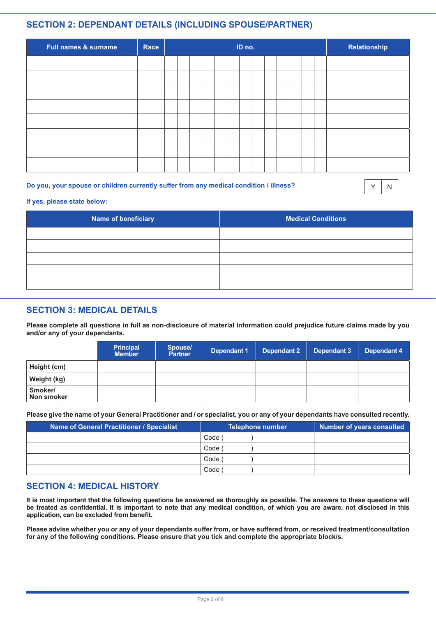# **SECTION 2: DEPENDANT DETAILS (INCLUDING SPOUSE/PARTNER)**

| Full names & surname | Race | ID no. |  |  |  |  |  | Relationship |  |  |  |
|----------------------|------|--------|--|--|--|--|--|--------------|--|--|--|
|                      |      |        |  |  |  |  |  |              |  |  |  |
|                      |      |        |  |  |  |  |  |              |  |  |  |
|                      |      |        |  |  |  |  |  |              |  |  |  |
|                      |      |        |  |  |  |  |  |              |  |  |  |
|                      |      |        |  |  |  |  |  |              |  |  |  |
|                      |      |        |  |  |  |  |  |              |  |  |  |
|                      |      |        |  |  |  |  |  |              |  |  |  |
|                      |      |        |  |  |  |  |  |              |  |  |  |

#### **Do you, your spouse or children currently suffer from any medical condition / illness?**

 $Y$  N

#### **If yes, please state below:**

| Name of beneficiary | <b>Medical Conditions</b> |
|---------------------|---------------------------|
|                     |                           |
|                     |                           |
|                     |                           |
|                     |                           |
|                     |                           |

# **SECTION 3: MEDICAL DETAILS**

**Please complete all questions in full as non-disclosure of material information could prejudice future claims made by you and/or any of your dependants.**

|                       | <b>Principal</b><br><b>Member</b> | Spouse/<br><b>Partner</b> | Dependant 1 | Dependant 2 | Dependant 3 | Dependant 4 |
|-----------------------|-----------------------------------|---------------------------|-------------|-------------|-------------|-------------|
| Height (cm)           |                                   |                           |             |             |             |             |
| Weight (kg)           |                                   |                           |             |             |             |             |
| Smoker/<br>Non smoker |                                   |                           |             |             |             |             |

**Please give the name of your General Practitioner and / or specialist, you or any of your dependants have consulted recently.**

| Name of General Practitioner / Specialist | <b>Telephone number</b> | <b>Number of years consulted</b> |
|-------------------------------------------|-------------------------|----------------------------------|
|                                           | Code                    |                                  |
|                                           | Code /                  |                                  |
|                                           | Code /                  |                                  |
|                                           | Code                    |                                  |

#### **SECTION 4: MEDICAL HISTORY**

**It is most important that the following questions be answered as thoroughly as possible. The answers to these questions will be treated as confidential. It is important to note that any medical condition, of which you are aware, not disclosed in this application, can be excluded from benefit.**

**Please advise whether you or any of your dependants suffer from, or have suffered from, or received treatment/consultation for any of the following conditions. Please ensure that you tick and complete the appropriate block/s.**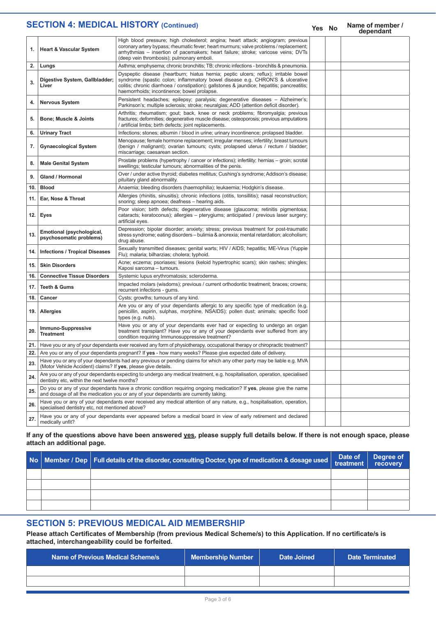#### **Yes No Name of member / dependant 1. Heart & Vascular System** High blood pressure; high cholesterol; angina; heart attack; angiogram; previous coronary artery bypass; rheumatic fever; heart murmurs; valve problems / replacement; arrhythmias – insertion of pacemakers; heart failure; stroke; varicose veins; DVTs (deep vein thrombosis); pulmonary emboli. **2. Lungs** Asthma; emphysema; chronic bronchitis; TB; chronic infections - bronchitis & pneumonia. **3. Digestive System, Gallbladder; Liver** Dyspeptic disease (heartburn; hiatus hernia; peptic ulcers; reflux); irritable bowel syndrome (spastic colon; inflammatory bowel disease e.g. CHRON'S & ulcerative colitis; chronic diarrhoea / constipation); gallstones & jaundice; hepatitis; pancreatitis; haemorrhoids; incontinence; bowel prolapse. **4. Nervous System Persistent headaches**; epilepsy; paralysis; degenerative diseases – Alzheimer's; Parkinson's; multiple sclerosis; stroke; neuralgias; ADD (attention deficit disorder). **5. Bone; Muscle & Joints** Arthritis; rheumatism; gout; back, knee or neck problems; fibromyalgia; previous fractures; deformities; degenerative muscle disease; osteoporosis; previous amputations / artificial limbs; birth defects; joint replacements. **6. Urinary Tract Infections**; stones; albumin / blood in urine; urinary incontinence; prolapsed bladder. **7. Gynaecological System** Menopause; female hormone replacement; irregular menses; infertility; breast tumours (benign / malignant); ovarian tumours; cysts; prolapsed uterus / rectum / bladder; miscarriage; caesarean section. **8. Male Genital System** Prostate problems (hypertrophy / cancer or infections); infertility; hernias – groin; scrotal swellings; testicular tumours; abnormalities of the penis. **9. Gland / Hormonal Over / under active thyroid; diabetes mellitus; Cushing's syndrome; Addison's disease;** pituitary gland abnormality. **10. Blood Anaemia;** bleeding disorders (haemophilia); leukaemia; Hodgkin's disease **11. Ear, Nose & Throat** Allergies (rhinitis, sinusitis); chronic infections (otitis, tonsillitis); nasal reconstruction; snoring; sleep apnoea; deafness – hearing aids. **12. Eyes** Poor vision; birth defects; degenerative disease (glaucoma; retinitis pigmentosa; cataracts; keratoconus); allergies – pterygiums; anticipated / previous laser surgery; artificial eyes. **13. Emotional (psychological, psychosomatic problems)** Depression; bipolar disorder; anxiety; stress; previous treatment for post-traumatic stress syndrome; eating disorders – bulimia & anorexia; mental retardation; alcoholism; drug abuse. 14. **Infections / Tropical Diseases** Sexually transmitted diseases; genital warts; HIV / AIDS; hepatitis; ME-Virus (Yuppie Flu); malaria; bilharzias; cholera; typhoid. 15. **Skin Disorders Ache**; eczema; psoriases; lesions (keloid hypertrophic scars); skin rashes; shingles; Kaposi sarcoma – tumours. 16. **Connective Tissue Disorders** Systemic lupus erythromatosis; scleroderma. **17. Teeth & Gums** Impacted molars (wisdoms); previous / current orthodontic treatment; braces; crowns; recurrent infections - gums. **18. Cancer Cysts**; growths; tumours of any kind. **19. Allergies** Are you or any of your dependants allergic to any specific type of medication (e.g. penicillin, aspirin, sulphas, morphine, NSAIDS); pollen dust; animals; specific food types (e.g. nuts). **20. Immuno-Suppressive Treatment** Have you or any of your dependants ever had or expecting to undergo an organ treatment transplant? Have you or any of your dependants ever suffered from any condition requiring Immunosuppressive treatment? **21.** Have you or any of your dependants ever received any form of physiotherapy, occupational therapy or chiropractic treatment? 22. Are you or any of your dependants pregnant? If yes - how many weeks? Please give expected date of delivery **23.** Have you or any of your dependants had any previous or pending claims for which any other party may be liable e.g. MVA (Motor Vehicle Accident) claims? If **yes**, please give details. **24.** Are you or any of your dependants expecting to undergo any medical treatment, e.g. hospitalisation, operation, specialised dentistry etc, within the next twelve months? **25.** Do you or any of your dependants have a chronic condition requiring ongoing medication? If **yes**, please give the name and dosage of all the medication you or any of your dependants are currently taking. **26.** Have you or any of your dependants ever received any medical attention of any nature, e.g., hospitalisation, operation, specialised dentistry etc, not mentioned above? **27.** Have you or any of your dependants ever appeared before a medical board in view of early retirement and declared medically unfit? **SECTION 4: MEDICAL HISTORY (Continued)**

#### **If any of the questions above have been answered yes, please supply full details below. If there is not enough space, please attach an additional page.**

|  | No   Member / Dep   Full details of the disorder, consulting Doctor, type of medication & dosage used | Date of $\vert$ treatment | Degree of<br>recovery |
|--|-------------------------------------------------------------------------------------------------------|---------------------------|-----------------------|
|  |                                                                                                       |                           |                       |
|  |                                                                                                       |                           |                       |
|  |                                                                                                       |                           |                       |
|  |                                                                                                       |                           |                       |

# **SECTION 5: PREVIOUS MEDICAL AID MEMBERSHIP**

**Please attach Certificates of Membership (from previous Medical Scheme/s) to this Application. If no certificate/s is attached, interchangeability could be forfeited.**

| Name of Previous Medical Scheme/s | <b>Membership Number</b> | Date Joined | <b>Date Terminated</b> |
|-----------------------------------|--------------------------|-------------|------------------------|
|                                   |                          |             |                        |
|                                   |                          |             |                        |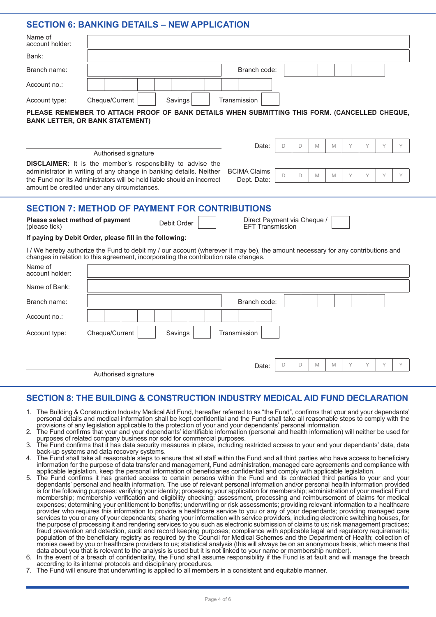## **SECTION 6: BANKING DETAILS – NEW APPLICATION**

| Name of<br>account holder:                       |                                                                                                                                                                                                                                                                                                                                                                          |
|--------------------------------------------------|--------------------------------------------------------------------------------------------------------------------------------------------------------------------------------------------------------------------------------------------------------------------------------------------------------------------------------------------------------------------------|
| Bank:                                            |                                                                                                                                                                                                                                                                                                                                                                          |
| Branch name:                                     | Branch code:                                                                                                                                                                                                                                                                                                                                                             |
| Account no.:                                     |                                                                                                                                                                                                                                                                                                                                                                          |
| Account type:                                    | Cheque/Current<br>Savings<br>Transmission                                                                                                                                                                                                                                                                                                                                |
|                                                  | PLEASE REMEMBER TO ATTACH PROOF OF BANK DETAILS WHEN SUBMITTING THIS FORM. (CANCELLED CHEQUE,<br><b>BANK LETTER, OR BANK STATEMENT)</b>                                                                                                                                                                                                                                  |
|                                                  | Y<br>D<br>Y<br>Y<br>Y<br>Date:<br>D<br>M<br>M                                                                                                                                                                                                                                                                                                                            |
|                                                  | Authorised signature<br><b>DISCLAIMER:</b> It is the member's responsibility to advise the<br>administrator in writing of any change in banking details. Neither<br><b>BCIMA Claims</b><br>Y<br>Y<br>Y<br>D<br>M<br>Y<br>D<br>M<br>the Fund nor its Administrators will be held liable should an incorrect<br>Dept. Date:<br>amount be credited under any circumstances. |
|                                                  | <b>SECTION 7: METHOD OF PAYMENT FOR CONTRIBUTIONS</b>                                                                                                                                                                                                                                                                                                                    |
| Please select method of payment<br>(please tick) | Direct Payment via Cheque /<br>Debit Order<br><b>EFT Transmission</b>                                                                                                                                                                                                                                                                                                    |
|                                                  | If paying by Debit Order, please fill in the following:                                                                                                                                                                                                                                                                                                                  |
|                                                  | I / We hereby authorize the Fund to debit my / our account (wherever it may be), the amount necessary for any contributions and<br>changes in relation to this agreement, incorporating the contribution rate changes.                                                                                                                                                   |
| Name of<br>account holder:                       |                                                                                                                                                                                                                                                                                                                                                                          |
| Name of Bank:                                    |                                                                                                                                                                                                                                                                                                                                                                          |
| Branch name:                                     | Branch code:                                                                                                                                                                                                                                                                                                                                                             |
| Account no.:                                     |                                                                                                                                                                                                                                                                                                                                                                          |
| Account type:                                    | Cheque/Current<br>Transmission<br>Savings                                                                                                                                                                                                                                                                                                                                |
|                                                  | Y<br>D<br>M<br>Υ<br>D<br>M<br>Date:                                                                                                                                                                                                                                                                                                                                      |
|                                                  | Authorised signature                                                                                                                                                                                                                                                                                                                                                     |

#### **SECTION 8: THE BUILDING & CONSTRUCTION INDUSTRY MEDICAL AID FUND DECLARATION**

- 1. The Building & Construction Industry Medical Aid Fund, hereafter referred to as "the Fund", confirms that your and your dependants' personal details and medical information shall be kept confidential and the Fund shall take all reasonable steps to comply with the provisions of any legislation applicable to the protection of your and your dependants' personal information.
- 2. The Fund confirms that your and your dependants' identifiable information (personal and health information) will neither be used for purposes of related company business nor sold for commercial purposes.
- 3. The Fund confirms that it has data security measures in place, including restricted access to your and your dependants' data, data back-up systems and data recovery systems.
- 4. The Fund shall take all reasonable steps to ensure that all staff within the Fund and all third parties who have access to beneficiary information for the purpose of data transfer and management, Fund administration, managed care agreements and compliance with applicable legislation, keep the personal information of beneficiaries confidential and comply with applicable legislation.
- 5. The Fund confirms it has granted access to certain persons within the Fund and its contracted third parties to your and your dependants' personal and health information. The use of relevant personal information and/or personal health information provided is for the following purposes: verifying your identity; processing your application for membership; administration of your medical Fund membership; membership verification and eligibility checking; assessment, processing and reimbursement of claims for medical expenses; determining your entitlement to benefits; underwriting or risk assessments; providing relevant information to a healthcare provider who requires this information to provide a healthcare service to you or any of your dependants; providing managed care services to you or any of your dependants; sharing your information with service providers, including electronic switching houses, for the purpose of processing it and rendering services to you such as electronic submission of claims to us; risk management practices; fraud prevention and detection, audit and record keeping purposes; compliance with applicable legal and regulatory requirements; population of the beneficiary registry as required by the Council for Medical Schemes and the Department of Health; collection of monies owed by you or healthcare providers to us; statistical analysis (this will always be on an anonymous basis, which means that data about you that is relevant to the analysis is used but it is not linked to your name or membership number).
- 6. In the event of a breach of confidentiality, the Fund shall assume responsibility if the Fund is at fault and will manage the breach according to its internal protocols and disciplinary procedures.
- 7. The Fund will ensure that underwriting is applied to all members in a consistent and equitable manner.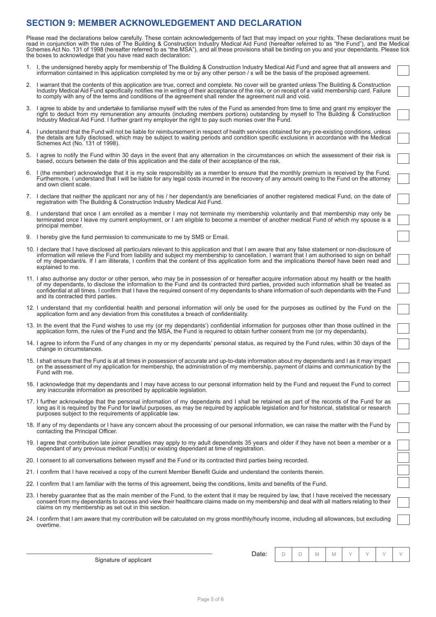## **SECTION 9: MEMBER ACKNOWLEDGEMENT AND DECLARATION**

Please read the declarations below carefully. These contain acknowledgements of fact that may impact on your rights. These declarations must be read in conjunction with the rules of The Building & Construction Industry Medical Aid Fund (hereafter referred to as "the Fund"), and the Medical Schemes Act No. 131 of 1998 (hereafter referred to as "the MSA"), and all these provisions shall be binding on you and your dependants. Please tick the boxes to acknowledge that you have read each declaration:

- 1. I, the undersigned hereby apply for membership of The Building & Construction Industry Medical Aid Fund and agree that all answers and information contained in this application completed by me or by any other person / s will be the basis of the proposed agreement.
- 2. I warrant that the contents of this application are true, correct and complete. No cover will be granted unless The Building & Construction Industry Medical Aid Fund specifically notifies me in writing of their acceptance of the risk, or on receipt of a valid membership card. Failure to comply with any of the terms and conditions of the agreement shall render the agreement null and void.
- 3. I agree to abide by and undertake to familiarise myself with the rules of the Fund as amended from time to time and grant my employer the right to deduct from my remuneration any amounts (including members portions) outstanding by myself to The Building & Construction Industry Medical Aid Fund. I further grant my employer the right to pay such monies over the Fund.
- 4. I understand that the Fund will not be liable for reimbursement in respect of health services obtained for any pre-existing conditions, unless the details are fully disclosed, which may be subject to waiting periods and condition specific exclusions in accordance with the Medical Schemes Act (No. 131 of 1998).
- 5. I agree to notify the Fund within 30 days in the event that any alternation in the circumstances on which the assessment of their risk is based, occurs between the date of this application and the date of their acceptance of the risk.
- 6. I (the member) acknowledge that it is my sole responsibility as a member to ensure that the monthly premium is received by the Fund. Furthermore, I understand that I will be liable for any legal costs incurred in the recovery of any amount owing to the Fund on the attorney and own client scale.
- 7. I declare that neither the applicant nor any of his / her dependant/s are beneficiaries of another registered medical Fund, on the date of registration with The Building & Construction Industry Medical Aid Fund.
- 8. I understand that once I am enrolled as a member I may not terminate my membership voluntarily and that membership may only be terminated once I leave my current employment, or I am eligible to become a member of another medical Fund of which my spouse is a principal member.
- 9. I hereby give the fund permission to communicate to me by SMS or Email.
- 10. I declare that I have disclosed all particulars relevant to this application and that I am aware that any false statement or non-disclosure of information will relieve the Fund from liability and subject my membership to cancellation. I warrant that I am authorised to sign on behalf of my dependant/s. If I am illiterate, I confirm that the content of this application form and the implications thereof have been read and explained to me.
- 11. I also authorise any doctor or other person, who may be in possession of or hereafter acquire information about my health or the health of my dependants, to disclose the information to the Fund and its contracted third parties, provided such information shall be treated as confidential at all times. I confirm that I have the required consent of my dependants to share information of such dependants with the Fund and its contracted third parties.
- 12. I understand that my confidential health and personal information will only be used for the purposes as outlined by the Fund on the application form and any deviation from this constitutes a breach of confidentiality.
- 13. In the event that the Fund wishes to use my (or my dependants') confidential information for purposes other than those outlined in the application form, the rules of the Fund and the MSA, the Fund is required to obtain further consent from me (or my dependants).
- 14. I agree to inform the Fund of any changes in my or my dependants' personal status, as required by the Fund rules, within 30 days of the change in circumstances.
- 15. I shall ensure that the Fund is at all times in possession of accurate and up-to-date information about my dependants and I as it may impact on the assessment of my application for membership, the administration of my membership, payment of claims and communication by the Fund with me.
- 16. I acknowledge that my dependants and I may have access to our personal information held by the Fund and request the Fund to correct any inaccurate information as prescribed by applicable legislation.
- 17. I further acknowledge that the personal information of my dependants and I shall be retained as part of the records of the Fund for as long as it is required by the Fund for lawful purposes, as may be required by applicable legislation and for historical, statistical or research purposes subject to the requirements of applicable law.
- 18. If any of my dependants or I have any concern about the processing of our personal information, we can raise the matter with the Fund by contacting the Principal Officer.
- 19. I agree that contribution late joiner penalties may apply to my adult dependants 35 years and older if they have not been a member or a dependant of any previous medical Fund(s) or existing dependant at time of registration.
- 20. I consent to all conversations between myself and the Fund or its contracted third parties being recorded.
- 21. I confirm that I have received a copy of the current Member Benefit Guide and understand the contents therein.
- 22. I confirm that I am familiar with the terms of this agreement, being the conditions, limits and benefits of the Fund.
- 23. I hereby guarantee that as the main member of the Fund, to the extent that it may be required by law, that I have received the necessary consent from my dependants to access and view their healthcare claims made on my membership and deal with all matters relating to their claims on my membership as set out in this section.
- 24. I confirm that I am aware that my contribution will be calculated on my gross monthly/hourly income, including all allowances, but excluding overtime.

| Date: |  |  | Ą, |  |  |  |  |  |
|-------|--|--|----|--|--|--|--|--|
|-------|--|--|----|--|--|--|--|--|